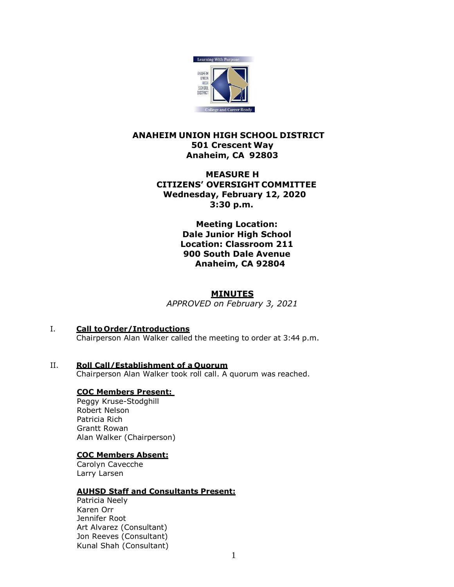

# **ANAHEIM UNION HIGH SCHOOL DISTRICT 501 Crescent Way Anaheim, CA 92803**

# **MEASURE H CITIZENS' OVERSIGHT COMMITTEE Wednesday, February 12, 2020 3:30 p.m.**

**Meeting Location: Dale Junior High School Location: Classroom 211 900 South Dale Avenue Anaheim, CA 92804**

# **MINUTES**

*APPROVED on February 3, 2021*

I. **Call to Order/Introductions**

Chairperson Alan Walker called the meeting to order at 3:44 p.m.

II. **Roll Call/Establishment of a Quorum** Chairperson Alan Walker took roll call. A quorum was reached.

# **COC Members Present:**

Peggy Kruse-Stodghill Robert Nelson Patricia Rich Grantt Rowan Alan Walker (Chairperson)

## **COC Members Absent:**

Carolyn Cavecche Larry Larsen

# **AUHSD Staff and Consultants Present:**

Patricia Neely Karen Orr Jennifer Root Art Alvarez (Consultant) Jon Reeves (Consultant) Kunal Shah (Consultant)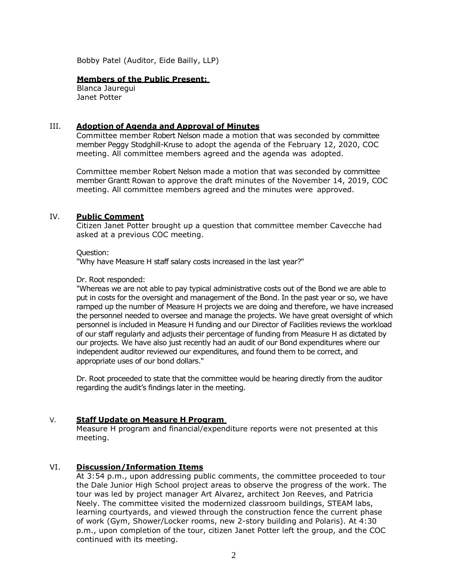Bobby Patel (Auditor, Eide Bailly, LLP)

### **Members of the Public Present:**

Blanca Jauregui Janet Potter

## III. **Adoption of Agenda and Approval of Minutes**

Committee member Robert Nelson made a motion that was seconded by committee member Peggy Stodghill-Kruse to adopt the agenda of the February 12, 2020, COC meeting. All committee members agreed and the agenda was adopted.

Committee member Robert Nelson made a motion that was seconded by committee member Grantt Rowan to approve the draft minutes of the November 14, 2019, COC meeting. All committee members agreed and the minutes were approved.

### IV. **Public Comment**

Citizen Janet Potter brought up a question that committee member Cavecche had asked at a previous COC meeting.

#### Question:

"Why have Measure H staff salary costs increased in the last year?"

### Dr. Root responded:

"Whereas we are not able to pay typical administrative costs out of the Bond we are able to put in costs for the oversight and management of the Bond. In the past year or so, we have ramped up the number of Measure H projects we are doing and therefore, we have increased the personnel needed to oversee and manage the projects. We have great oversight of which personnel is included in Measure H funding and our Director of Facilities reviews the workload of our staff regularly and adjusts their percentage of funding from Measure H as dictated by our projects. We have also just recently had an audit of our Bond expenditures where our independent auditor reviewed our expenditures, and found them to be correct, and appropriate uses of our bond dollars."

Dr. Root proceeded to state that the committee would be hearing directly from the auditor regarding the audit's findings later in the meeting.

## V. **Staff Update on Measure H Program**

Measure H program and financial/expenditure reports were not presented at this meeting.

## VI. **Discussion/Information Items**

At 3:54 p.m., upon addressing public comments, the committee proceeded to tour the Dale Junior High School project areas to observe the progress of the work. The tour was led by project manager Art Alvarez, architect Jon Reeves, and Patricia Neely. The committee visited the modernized classroom buildings, STEAM labs, learning courtyards, and viewed through the construction fence the current phase of work (Gym, Shower/Locker rooms, new 2-story building and Polaris). At 4:30 p.m., upon completion of the tour, citizen Janet Potter left the group, and the COC continued with its meeting.